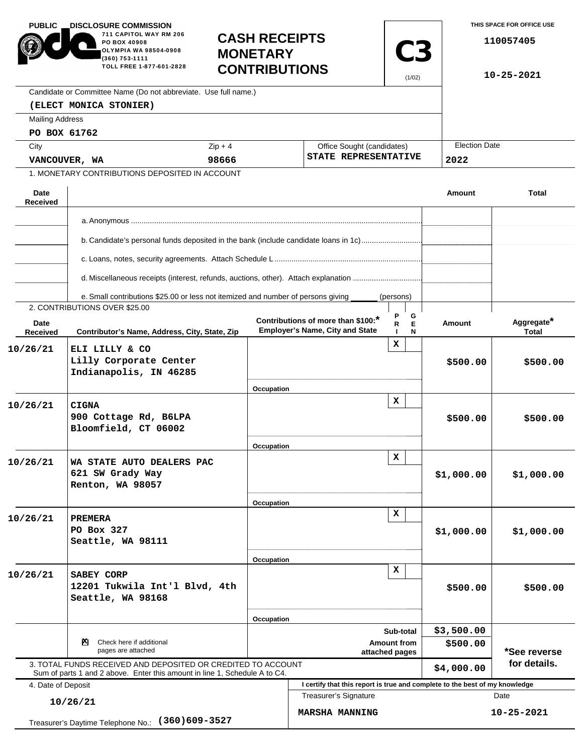| <b>PUBLIC</b>                                                                                                        | DISCLOSURE COMMISSION.<br>711 CAPITOL WAY RM 206<br>PO BOX 40908<br>OLYMPIA WA 98504-0908<br>(360) 753-1111<br>TOLL FREE 1-877-601-2828 |            | <b>CASH RECEIPTS</b><br><b>MONETARY</b><br><b>CONTRIBUTIONS</b>              |                                                                             | <b>C3</b>                    | THIS SPACE FOR OFFICE USE<br>110057405<br>10-25-2021 |  |  |
|----------------------------------------------------------------------------------------------------------------------|-----------------------------------------------------------------------------------------------------------------------------------------|------------|------------------------------------------------------------------------------|-----------------------------------------------------------------------------|------------------------------|------------------------------------------------------|--|--|
|                                                                                                                      | Candidate or Committee Name (Do not abbreviate. Use full name.)                                                                         |            |                                                                              |                                                                             |                              |                                                      |  |  |
|                                                                                                                      | (ELECT MONICA STONIER)                                                                                                                  |            |                                                                              |                                                                             |                              |                                                      |  |  |
| <b>Mailing Address</b>                                                                                               |                                                                                                                                         |            |                                                                              |                                                                             |                              |                                                      |  |  |
|                                                                                                                      | PO BOX 61762                                                                                                                            |            |                                                                              |                                                                             |                              |                                                      |  |  |
| City                                                                                                                 |                                                                                                                                         | $Zip + 4$  |                                                                              | Office Sought (candidates)<br>STATE REPRESENTATIVE                          |                              | <b>Election Date</b><br>2022                         |  |  |
| VANCOUVER, WA                                                                                                        |                                                                                                                                         | 98666      |                                                                              |                                                                             |                              |                                                      |  |  |
|                                                                                                                      | 1. MONETARY CONTRIBUTIONS DEPOSITED IN ACCOUNT                                                                                          |            |                                                                              |                                                                             |                              |                                                      |  |  |
| Date<br><b>Received</b>                                                                                              |                                                                                                                                         |            |                                                                              |                                                                             | Amount                       | <b>Total</b>                                         |  |  |
|                                                                                                                      |                                                                                                                                         |            |                                                                              |                                                                             |                              |                                                      |  |  |
|                                                                                                                      |                                                                                                                                         |            |                                                                              |                                                                             |                              |                                                      |  |  |
|                                                                                                                      | b. Candidate's personal funds deposited in the bank (include candidate loans in 1c)                                                     |            |                                                                              |                                                                             |                              |                                                      |  |  |
|                                                                                                                      | d. Miscellaneous receipts (interest, refunds, auctions, other). Attach explanation                                                      |            |                                                                              |                                                                             |                              |                                                      |  |  |
|                                                                                                                      |                                                                                                                                         |            |                                                                              |                                                                             |                              |                                                      |  |  |
|                                                                                                                      | e. Small contributions \$25.00 or less not itemized and number of persons giving<br>2. CONTRIBUTIONS OVER \$25.00                       |            |                                                                              | (persons)                                                                   |                              |                                                      |  |  |
| Date<br>Received                                                                                                     | Contributor's Name, Address, City, State, Zip                                                                                           |            | Contributions of more than \$100:*<br><b>Employer's Name, City and State</b> | G<br>Е<br>R.<br>N                                                           | <b>Amount</b>                | Aggregate*<br><b>Total</b>                           |  |  |
| 10/26/21                                                                                                             | ELI LILLY & CO<br>Lilly Corporate Center<br>Indianapolis, IN 46285                                                                      |            |                                                                              | x                                                                           | \$500.00                     | \$500.00                                             |  |  |
|                                                                                                                      |                                                                                                                                         | Occupation |                                                                              |                                                                             |                              |                                                      |  |  |
| 10/26/21                                                                                                             | <b>CIGNA</b><br>900 Cottage Rd, B6LPA<br>Bloomfield, CT 06002                                                                           |            |                                                                              | x                                                                           | \$500.00                     | \$500.00                                             |  |  |
|                                                                                                                      |                                                                                                                                         | Occupation |                                                                              |                                                                             |                              |                                                      |  |  |
| 10/26/21                                                                                                             | WA STATE AUTO DEALERS PAC<br>621 SW Grady Way<br>Renton, WA 98057                                                                       |            |                                                                              | x                                                                           | \$1,000.00                   | \$1,000.00                                           |  |  |
|                                                                                                                      |                                                                                                                                         | Occupation |                                                                              |                                                                             |                              |                                                      |  |  |
| 10/26/21                                                                                                             | <b>PREMERA</b><br>PO Box 327<br>Seattle, WA 98111                                                                                       |            |                                                                              | $\mathbf x$                                                                 | \$1,000.00                   | \$1,000.00                                           |  |  |
|                                                                                                                      |                                                                                                                                         | Occupation |                                                                              |                                                                             |                              |                                                      |  |  |
| 10/26/21                                                                                                             | SABEY CORP<br>12201 Tukwila Int'l Blvd, 4th<br>Seattle, WA 98168                                                                        |            |                                                                              | x                                                                           | \$500.00                     | \$500.00                                             |  |  |
|                                                                                                                      |                                                                                                                                         | Occupation |                                                                              |                                                                             | \$3,500.00                   |                                                      |  |  |
| Check here if additional<br>×.<br>pages are attached<br>3. TOTAL FUNDS RECEIVED AND DEPOSITED OR CREDITED TO ACCOUNT |                                                                                                                                         |            | Sub-total<br>Amount from                                                     |                                                                             |                              |                                                      |  |  |
|                                                                                                                      |                                                                                                                                         |            | attached pages                                                               | \$500.00<br>\$4,000.00                                                      | *See reverse<br>for details. |                                                      |  |  |
|                                                                                                                      | Sum of parts 1 and 2 above. Enter this amount in line 1, Schedule A to C4.                                                              |            |                                                                              |                                                                             |                              |                                                      |  |  |
| 4. Date of Deposit                                                                                                   |                                                                                                                                         |            | Treasurer's Signature                                                        | I certify that this report is true and complete to the best of my knowledge |                              | Date                                                 |  |  |
| 10/26/21<br>$(360)609 - 3527$                                                                                        |                                                                                                                                         |            | <b>MARSHA MANNING</b>                                                        |                                                                             |                              | 10-25-2021                                           |  |  |
|                                                                                                                      | Treasurer's Daytime Telephone No.:                                                                                                      |            |                                                                              |                                                                             |                              |                                                      |  |  |